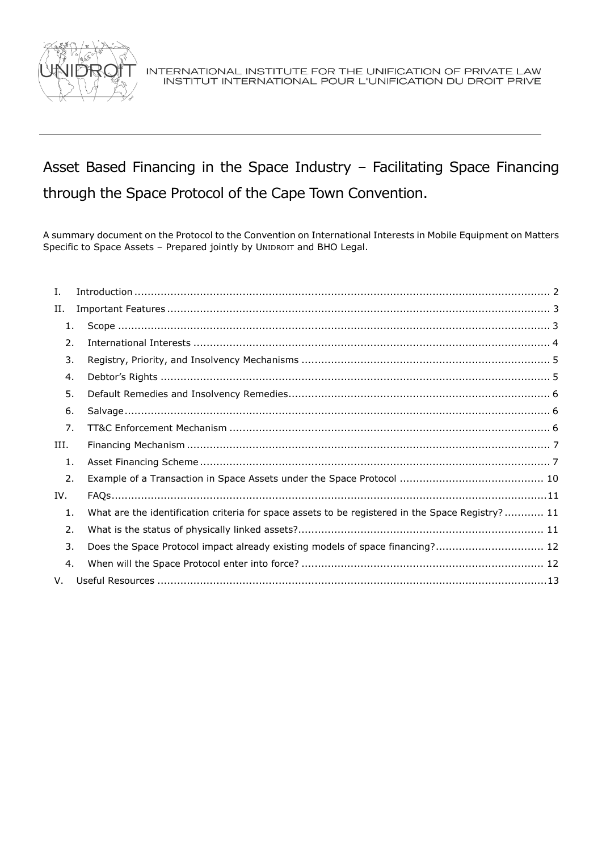

# Asset Based Financing in the Space Industry – Facilitating Space Financing through the Space Protocol of the Cape Town Convention.

A summary document on the Protocol to the Convention on International Interests in Mobile Equipment on Matters Specific to Space Assets – Prepared jointly by UNIDROIT and BHO Legal.

| I.   |                                                                                                  |  |
|------|--------------------------------------------------------------------------------------------------|--|
| Н.   |                                                                                                  |  |
| 1.   |                                                                                                  |  |
| 2.   |                                                                                                  |  |
| 3.   |                                                                                                  |  |
| 4.   |                                                                                                  |  |
| 5.   |                                                                                                  |  |
| 6.   |                                                                                                  |  |
| 7.   |                                                                                                  |  |
| III. |                                                                                                  |  |
| 1.   |                                                                                                  |  |
| 2.   |                                                                                                  |  |
| IV.  |                                                                                                  |  |
| 1.   | What are the identification criteria for space assets to be registered in the Space Registry? 11 |  |
| 2.   |                                                                                                  |  |
| 3.   | Does the Space Protocol impact already existing models of space financing? 12                    |  |
| 4.   |                                                                                                  |  |
| V.   |                                                                                                  |  |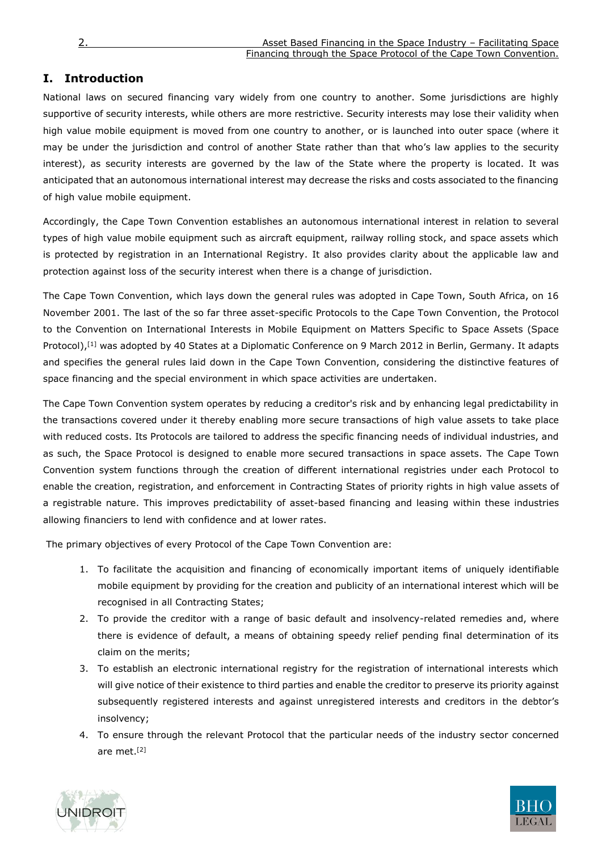## <span id="page-1-0"></span>**I. Introduction**

National laws on secured financing vary widely from one country to another. Some jurisdictions are highly supportive of security interests, while others are more restrictive. Security interests may lose their validity when high value mobile equipment is moved from one country to another, or is launched into outer space (where it may be under the jurisdiction and control of another State rather than that who's law applies to the security interest), as security interests are governed by the law of the State where the property is located. It was anticipated that an autonomous international interest may decrease the risks and costs associated to the financing of high value mobile equipment.

Accordingly, the Cape Town Convention establishes an autonomous international interest in relation to several types of high value mobile equipment such as aircraft equipment, railway rolling stock, and space assets which is protected by registration in an International Registry. It also provides clarity about the applicable law and protection against loss of the security interest when there is a change of jurisdiction.

The Cape Town Convention, which lays down the general rules was adopted in Cape Town, South Africa, on 16 November 2001. The last of the so far three asset-specific Protocols to the Cape Town Convention, the Protocol to the Convention on International Interests in Mobile Equipment on Matters Specific to Space Assets (Space Protocol),<sup>[1]</sup> was adopted by 40 States at a Diplomatic Conference on 9 March 2012 in Berlin, Germany. It adapts and specifies the general rules laid down in the Cape Town Convention, considering the distinctive features of space financing and the special environment in which space activities are undertaken.

The Cape Town Convention system operates by reducing a creditor's risk and by enhancing legal predictability in the transactions covered under it thereby enabling more secure transactions of high value assets to take place with reduced costs. Its Protocols are tailored to address the specific financing needs of individual industries, and as such, the Space Protocol is designed to enable more secured transactions in space assets. The Cape Town Convention system functions through the creation of different international registries under each Protocol to enable the creation, registration, and enforcement in Contracting States of priority rights in high value assets of a registrable nature. This improves predictability of asset-based financing and leasing within these industries allowing financiers to lend with confidence and at lower rates.

The primary objectives of every Protocol of the Cape Town Convention are:

- 1. To facilitate the acquisition and financing of economically important items of uniquely identifiable mobile equipment by providing for the creation and publicity of an international interest which will be recognised in all Contracting States;
- 2. To provide the creditor with a range of basic default and insolvency-related remedies and, where there is evidence of default, a means of obtaining speedy relief pending final determination of its claim on the merits;
- 3. To establish an electronic international registry for the registration of international interests which will give notice of their existence to third parties and enable the creditor to preserve its priority against subsequently registered interests and against unregistered interests and creditors in the debtor's insolvency;
- 4. To ensure through the relevant Protocol that the particular needs of the industry sector concerned are met. [2]



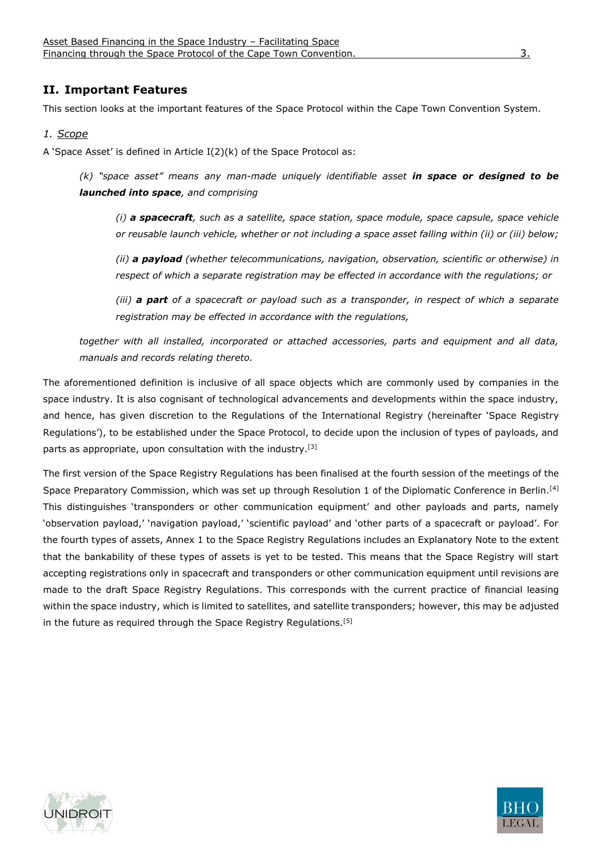## <span id="page-2-0"></span>**II. Important Features**

This section looks at the important features of the Space Protocol within the Cape Town Convention System.

#### <span id="page-2-1"></span>*1. Scope*

A 'Space Asset' is defined in Article I(2)(k) of the Space Protocol as:

*(k) "space asset" means any man-made uniquely identifiable asset in space or designed to be launched into space, and comprising*

*(i) a spacecraft, such as a satellite, space station, space module, space capsule, space vehicle or reusable launch vehicle, whether or not including a space asset falling within (ii) or (iii) below;*

*(ii) a payload (whether telecommunications, navigation, observation, scientific or otherwise) in respect of which a separate registration may be effected in accordance with the regulations; or*

*(iii) a part of a spacecraft or payload such as a transponder, in respect of which a separate registration may be effected in accordance with the regulations,* 

*together with all installed, incorporated or attached accessories, parts and equipment and all data, manuals and records relating thereto.*

The aforementioned definition is inclusive of all space objects which are commonly used by companies in the space industry. It is also cognisant of technological advancements and developments within the space industry, and hence, has given discretion to the Regulations of the International Registry (hereinafter 'Space Registry Regulations'), to be established under the Space Protocol, to decide upon the inclusion of types of payloads, and parts as appropriate, upon consultation with the industry.<sup>[3]</sup>

The first version of the Space Registry Regulations has been finalised at the fourth session of the meetings of the Space Preparatory Commission, which was set up through Resolution 1 of the Diplomatic Conference in Berlin.<sup>[4]</sup> This distinguishes 'transponders or other communication equipment' and other payloads and parts, namely 'observation payload,' 'navigation payload,' 'scientific payload' and 'other parts of a spacecraft or payload'. For the fourth types of assets, Annex 1 to the Space Registry Regulations includes an Explanatory Note to the extent that the bankability of these types of assets is yet to be tested. This means that the Space Registry will start accepting registrations only in spacecraft and transponders or other communication equipment until revisions are made to the draft Space Registry Regulations. This corresponds with the current practice of financial leasing within the space industry, which is limited to satellites, and satellite transponders; however, this may be adjusted in the future as required through the Space Registry Regulations.<sup>[5]</sup>



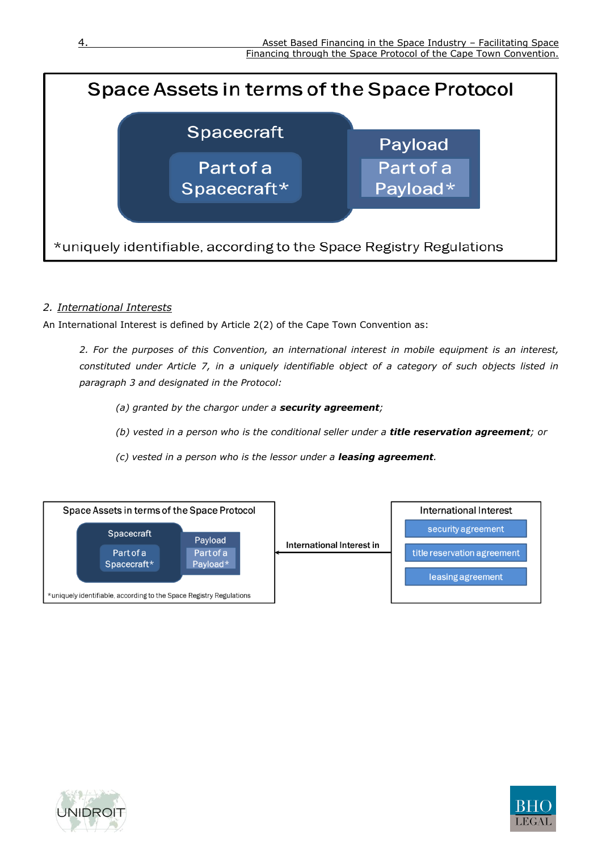

## <span id="page-3-0"></span>*2. International Interests*

An International Interest is defined by Article 2(2) of the Cape Town Convention as:

*2. For the purposes of this Convention, an international interest in mobile equipment is an interest, constituted under Article 7, in a uniquely identifiable object of a category of such objects listed in paragraph 3 and designated in the Protocol:*

*(a) granted by the chargor under a security agreement;*

*(b) vested in a person who is the conditional seller under a title reservation agreement; or*

*(c) vested in a person who is the lessor under a leasing agreement.*





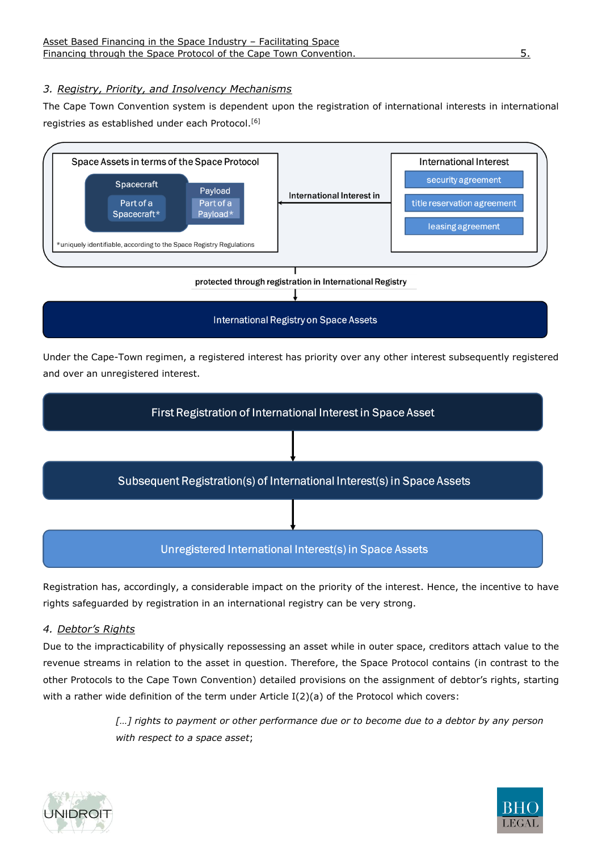## <span id="page-4-0"></span>*3. Registry, Priority, and Insolvency Mechanisms*

The Cape Town Convention system is dependent upon the registration of international interests in international registries as established under each Protocol.<sup>[6]</sup>



Under the Cape-Town regimen, a registered interest has priority over any other interest subsequently registered and over an unregistered interest.



Registration has, accordingly, a considerable impact on the priority of the interest. Hence, the incentive to have rights safeguarded by registration in an international registry can be very strong.

## <span id="page-4-1"></span>*4. Debtor's Rights*

Due to the impracticability of physically repossessing an asset while in outer space, creditors attach value to the revenue streams in relation to the asset in question. Therefore, the Space Protocol contains (in contrast to the other Protocols to the Cape Town Convention) detailed provisions on the assignment of debtor's rights, starting with a rather wide definition of the term under Article I(2)(a) of the Protocol which covers:

> *[…] rights to payment or other performance due or to become due to a debtor by any person with respect to a space asset*;



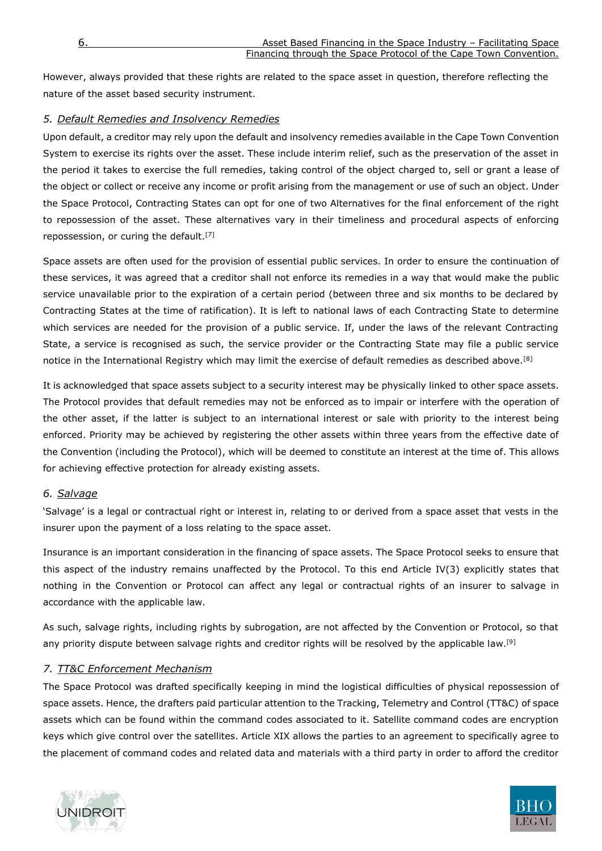However, always provided that these rights are related to the space asset in question, therefore reflecting the nature of the asset based security instrument.

## <span id="page-5-0"></span>*5. Default Remedies and Insolvency Remedies*

Upon default, a creditor may rely upon the default and insolvency remedies available in the Cape Town Convention System to exercise its rights over the asset. These include interim relief, such as the preservation of the asset in the period it takes to exercise the full remedies, taking control of the object charged to, sell or grant a lease of the object or collect or receive any income or profit arising from the management or use of such an object. Under the Space Protocol, Contracting States can opt for one of two Alternatives for the final enforcement of the right to repossession of the asset. These alternatives vary in their timeliness and procedural aspects of enforcing repossession, or curing the default.[7]

Space assets are often used for the provision of essential public services. In order to ensure the continuation of these services, it was agreed that a creditor shall not enforce its remedies in a way that would make the public service unavailable prior to the expiration of a certain period (between three and six months to be declared by Contracting States at the time of ratification). It is left to national laws of each Contracting State to determine which services are needed for the provision of a public service. If, under the laws of the relevant Contracting State, a service is recognised as such, the service provider or the Contracting State may file a public service notice in the International Registry which may limit the exercise of default remedies as described above.<sup>[8]</sup>

It is acknowledged that space assets subject to a security interest may be physically linked to other space assets. The Protocol provides that default remedies may not be enforced as to impair or interfere with the operation of the other asset, if the latter is subject to an international interest or sale with priority to the interest being enforced. Priority may be achieved by registering the other assets within three years from the effective date of the Convention (including the Protocol), which will be deemed to constitute an interest at the time of. This allows for achieving effective protection for already existing assets.

#### <span id="page-5-1"></span>*6. Salvage*

'Salvage' is a legal or contractual right or interest in, relating to or derived from a space asset that vests in the insurer upon the payment of a loss relating to the space asset.

Insurance is an important consideration in the financing of space assets. The Space Protocol seeks to ensure that this aspect of the industry remains unaffected by the Protocol. To this end Article IV(3) explicitly states that nothing in the Convention or Protocol can affect any legal or contractual rights of an insurer to salvage in accordance with the applicable law.

As such, salvage rights, including rights by subrogation, are not affected by the Convention or Protocol, so that any priority dispute between salvage rights and creditor rights will be resolved by the applicable law.<sup>[9]</sup>

#### <span id="page-5-2"></span>*7. TT&C Enforcement Mechanism*

The Space Protocol was drafted specifically keeping in mind the logistical difficulties of physical repossession of space assets. Hence, the drafters paid particular attention to the Tracking, Telemetry and Control (TT&C) of space assets which can be found within the command codes associated to it. Satellite command codes are encryption keys which give control over the satellites. Article XIX allows the parties to an agreement to specifically agree to the placement of command codes and related data and materials with a third party in order to afford the creditor



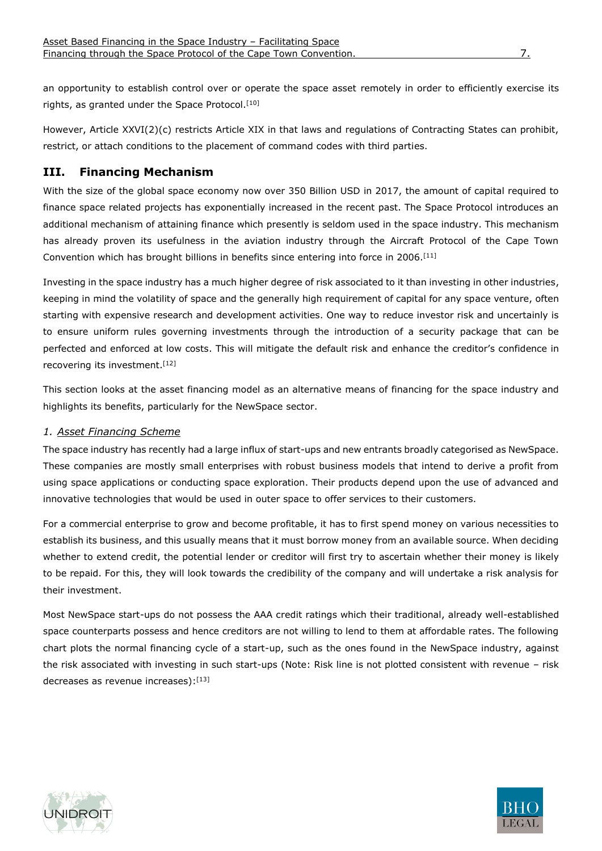an opportunity to establish control over or operate the space asset remotely in order to efficiently exercise its rights, as granted under the Space Protocol.<sup>[10]</sup>

However, Article XXVI(2)(c) restricts Article XIX in that laws and regulations of Contracting States can prohibit, restrict, or attach conditions to the placement of command codes with third parties.

## <span id="page-6-0"></span>**III. Financing Mechanism**

With the size of the global space economy now over 350 Billion USD in 2017, the amount of capital required to finance space related projects has exponentially increased in the recent past. The Space Protocol introduces an additional mechanism of attaining finance which presently is seldom used in the space industry. This mechanism has already proven its usefulness in the aviation industry through the Aircraft Protocol of the Cape Town Convention which has brought billions in benefits since entering into force in 2006.[11]

Investing in the space industry has a much higher degree of risk associated to it than investing in other industries, keeping in mind the volatility of space and the generally high requirement of capital for any space venture, often starting with expensive research and development activities. One way to reduce investor risk and uncertainly is to ensure uniform rules governing investments through the introduction of a security package that can be perfected and enforced at low costs. This will mitigate the default risk and enhance the creditor's confidence in recovering its investment.[12]

This section looks at the asset financing model as an alternative means of financing for the space industry and highlights its benefits, particularly for the NewSpace sector.

#### <span id="page-6-1"></span>*1. Asset Financing Scheme*

The space industry has recently had a large influx of start-ups and new entrants broadly categorised as NewSpace. These companies are mostly small enterprises with robust business models that intend to derive a profit from using space applications or conducting space exploration. Their products depend upon the use of advanced and innovative technologies that would be used in outer space to offer services to their customers.

For a commercial enterprise to grow and become profitable, it has to first spend money on various necessities to establish its business, and this usually means that it must borrow money from an available source. When deciding whether to extend credit, the potential lender or creditor will first try to ascertain whether their money is likely to be repaid. For this, they will look towards the credibility of the company and will undertake a risk analysis for their investment.

Most NewSpace start-ups do not possess the AAA credit ratings which their traditional, already well-established space counterparts possess and hence creditors are not willing to lend to them at affordable rates. The following chart plots the normal financing cycle of a start-up, such as the ones found in the NewSpace industry, against the risk associated with investing in such start-ups (Note: Risk line is not plotted consistent with revenue – risk decreases as revenue increases): [13]



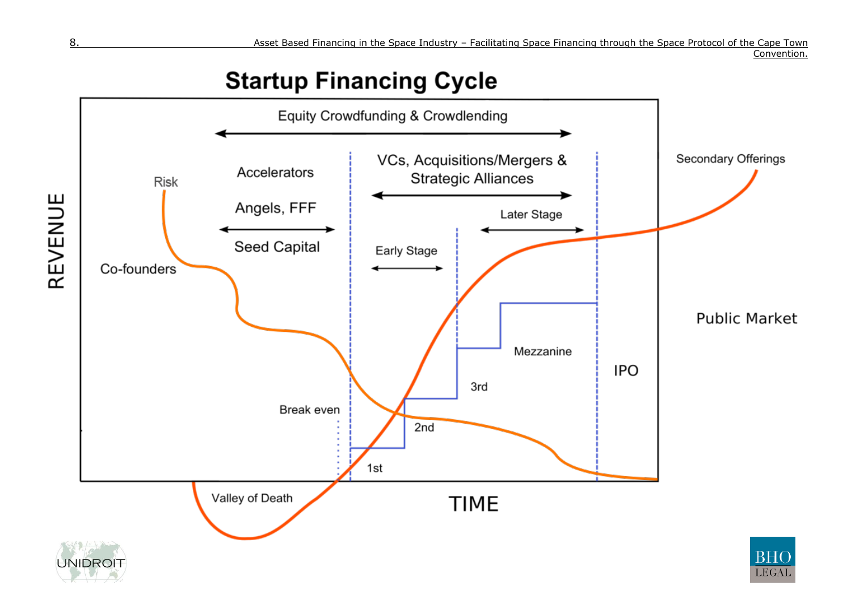Convention.

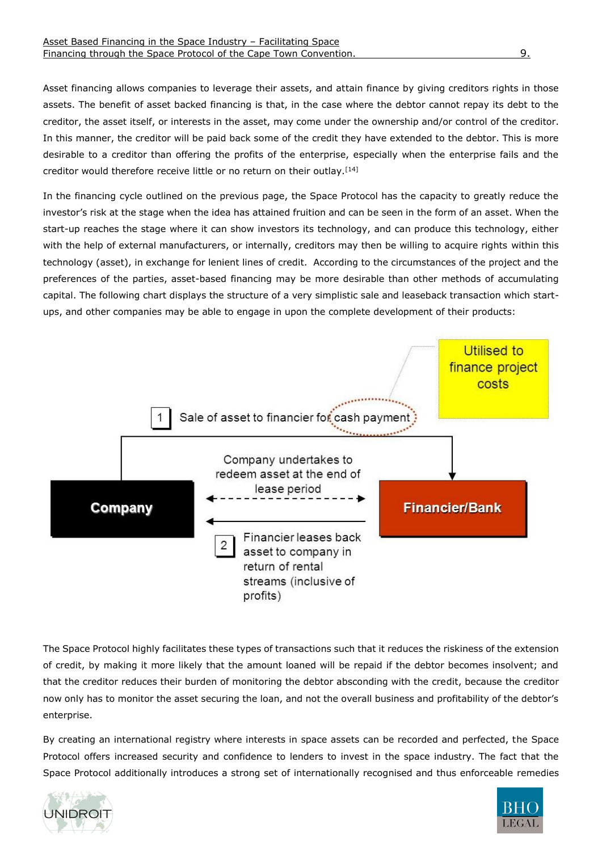Asset financing allows companies to leverage their assets, and attain finance by giving creditors rights in those assets. The benefit of asset backed financing is that, in the case where the debtor cannot repay its debt to the creditor, the asset itself, or interests in the asset, may come under the ownership and/or control of the creditor. In this manner, the creditor will be paid back some of the credit they have extended to the debtor. This is more desirable to a creditor than offering the profits of the enterprise, especially when the enterprise fails and the creditor would therefore receive little or no return on their outlay.[14]

In the financing cycle outlined on the previous page, the Space Protocol has the capacity to greatly reduce the investor's risk at the stage when the idea has attained fruition and can be seen in the form of an asset. When the start-up reaches the stage where it can show investors its technology, and can produce this technology, either with the help of external manufacturers, or internally, creditors may then be willing to acquire rights within this technology (asset), in exchange for lenient lines of credit. According to the circumstances of the project and the preferences of the parties, asset-based financing may be more desirable than other methods of accumulating capital. The following chart displays the structure of a very simplistic sale and leaseback transaction which startups, and other companies may be able to engage in upon the complete development of their products:



The Space Protocol highly facilitates these types of transactions such that it reduces the riskiness of the extension of credit, by making it more likely that the amount loaned will be repaid if the debtor becomes insolvent; and that the creditor reduces their burden of monitoring the debtor absconding with the credit, because the creditor now only has to monitor the asset securing the loan, and not the overall business and profitability of the debtor's enterprise.

By creating an international registry where interests in space assets can be recorded and perfected, the Space Protocol offers increased security and confidence to lenders to invest in the space industry. The fact that the Space Protocol additionally introduces a strong set of internationally recognised and thus enforceable remedies



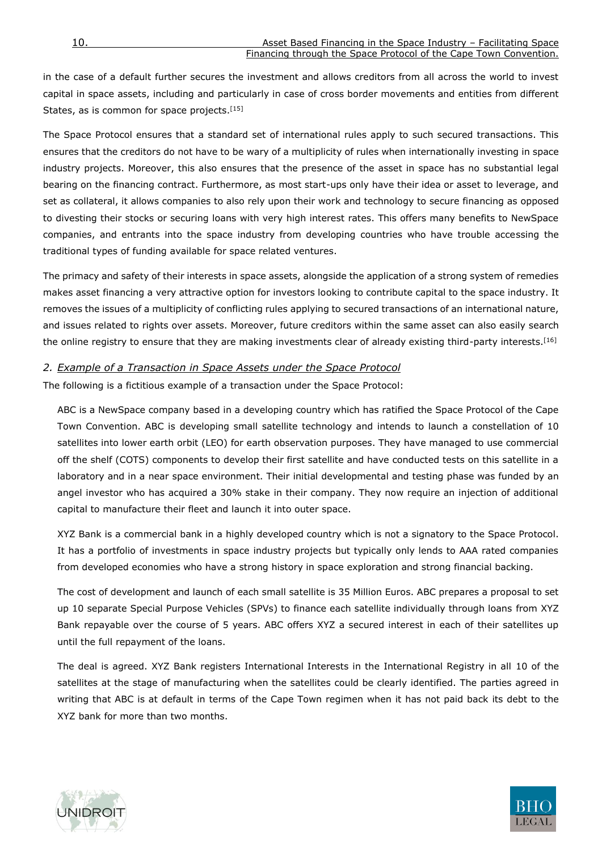in the case of a default further secures the investment and allows creditors from all across the world to invest capital in space assets, including and particularly in case of cross border movements and entities from different States, as is common for space projects.<sup>[15]</sup>

The Space Protocol ensures that a standard set of international rules apply to such secured transactions. This ensures that the creditors do not have to be wary of a multiplicity of rules when internationally investing in space industry projects. Moreover, this also ensures that the presence of the asset in space has no substantial legal bearing on the financing contract. Furthermore, as most start-ups only have their idea or asset to leverage, and set as collateral, it allows companies to also rely upon their work and technology to secure financing as opposed to divesting their stocks or securing loans with very high interest rates. This offers many benefits to NewSpace companies, and entrants into the space industry from developing countries who have trouble accessing the traditional types of funding available for space related ventures.

The primacy and safety of their interests in space assets, alongside the application of a strong system of remedies makes asset financing a very attractive option for investors looking to contribute capital to the space industry. It removes the issues of a multiplicity of conflicting rules applying to secured transactions of an international nature, and issues related to rights over assets. Moreover, future creditors within the same asset can also easily search the online registry to ensure that they are making investments clear of already existing third-party interests.<sup>[16]</sup>

#### <span id="page-9-0"></span>*2. Example of a Transaction in Space Assets under the Space Protocol*

The following is a fictitious example of a transaction under the Space Protocol:

ABC is a NewSpace company based in a developing country which has ratified the Space Protocol of the Cape Town Convention. ABC is developing small satellite technology and intends to launch a constellation of 10 satellites into lower earth orbit (LEO) for earth observation purposes. They have managed to use commercial off the shelf (COTS) components to develop their first satellite and have conducted tests on this satellite in a laboratory and in a near space environment. Their initial developmental and testing phase was funded by an angel investor who has acquired a 30% stake in their company. They now require an injection of additional capital to manufacture their fleet and launch it into outer space.

XYZ Bank is a commercial bank in a highly developed country which is not a signatory to the Space Protocol. It has a portfolio of investments in space industry projects but typically only lends to AAA rated companies from developed economies who have a strong history in space exploration and strong financial backing.

The cost of development and launch of each small satellite is 35 Million Euros. ABC prepares a proposal to set up 10 separate Special Purpose Vehicles (SPVs) to finance each satellite individually through loans from XYZ Bank repayable over the course of 5 years. ABC offers XYZ a secured interest in each of their satellites up until the full repayment of the loans.

The deal is agreed. XYZ Bank registers International Interests in the International Registry in all 10 of the satellites at the stage of manufacturing when the satellites could be clearly identified. The parties agreed in writing that ABC is at default in terms of the Cape Town regimen when it has not paid back its debt to the XYZ bank for more than two months.



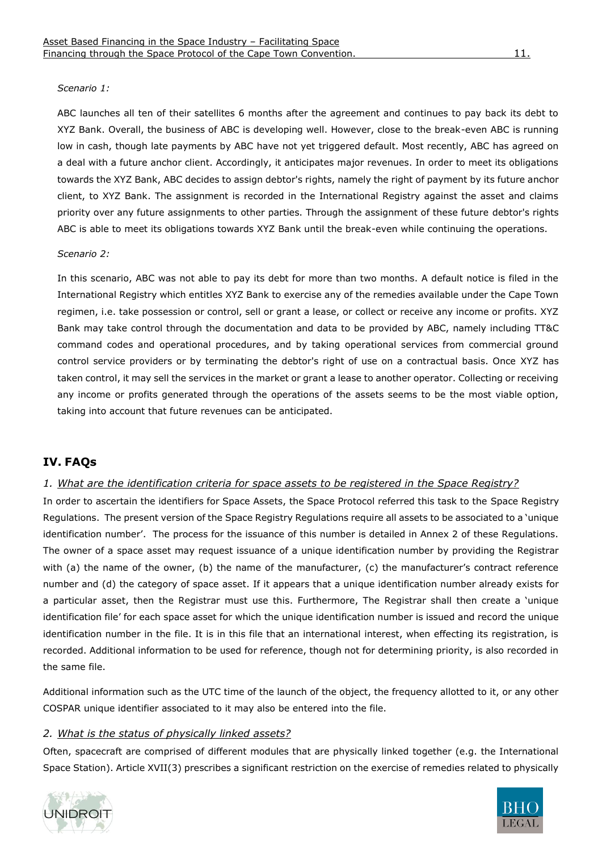#### *Scenario 1:*

ABC launches all ten of their satellites 6 months after the agreement and continues to pay back its debt to XYZ Bank. Overall, the business of ABC is developing well. However, close to the break-even ABC is running low in cash, though late payments by ABC have not yet triggered default. Most recently, ABC has agreed on a deal with a future anchor client. Accordingly, it anticipates major revenues. In order to meet its obligations towards the XYZ Bank, ABC decides to assign debtor's rights, namely the right of payment by its future anchor client, to XYZ Bank. The assignment is recorded in the International Registry against the asset and claims priority over any future assignments to other parties. Through the assignment of these future debtor's rights ABC is able to meet its obligations towards XYZ Bank until the break-even while continuing the operations.

#### *Scenario 2:*

In this scenario, ABC was not able to pay its debt for more than two months. A default notice is filed in the International Registry which entitles XYZ Bank to exercise any of the remedies available under the Cape Town regimen, i.e. take possession or control, sell or grant a lease, or collect or receive any income or profits. XYZ Bank may take control through the documentation and data to be provided by ABC, namely including TT&C command codes and operational procedures, and by taking operational services from commercial ground control service providers or by terminating the debtor's right of use on a contractual basis. Once XYZ has taken control, it may sell the services in the market or grant a lease to another operator. Collecting or receiving any income or profits generated through the operations of the assets seems to be the most viable option, taking into account that future revenues can be anticipated.

## <span id="page-10-0"></span>**IV. FAQs**

## <span id="page-10-1"></span>*1. What are the identification criteria for space assets to be registered in the Space Registry?*

In order to ascertain the identifiers for Space Assets, the Space Protocol referred this task to the Space Registry Regulations. The present version of the Space Registry Regulations require all assets to be associated to a 'unique identification number'. The process for the issuance of this number is detailed in Annex 2 of these Regulations. The owner of a space asset may request issuance of a unique identification number by providing the Registrar with (a) the name of the owner, (b) the name of the manufacturer, (c) the manufacturer's contract reference number and (d) the category of space asset. If it appears that a unique identification number already exists for a particular asset, then the Registrar must use this. Furthermore, The Registrar shall then create a 'unique identification file' for each space asset for which the unique identification number is issued and record the unique identification number in the file. It is in this file that an international interest, when effecting its registration, is recorded. Additional information to be used for reference, though not for determining priority, is also recorded in the same file.

Additional information such as the UTC time of the launch of the object, the frequency allotted to it, or any other COSPAR unique identifier associated to it may also be entered into the file.

#### <span id="page-10-2"></span>*2. What is the status of physically linked assets?*

Often, spacecraft are comprised of different modules that are physically linked together (e.g. the International Space Station). Article XVII(3) prescribes a significant restriction on the exercise of remedies related to physically



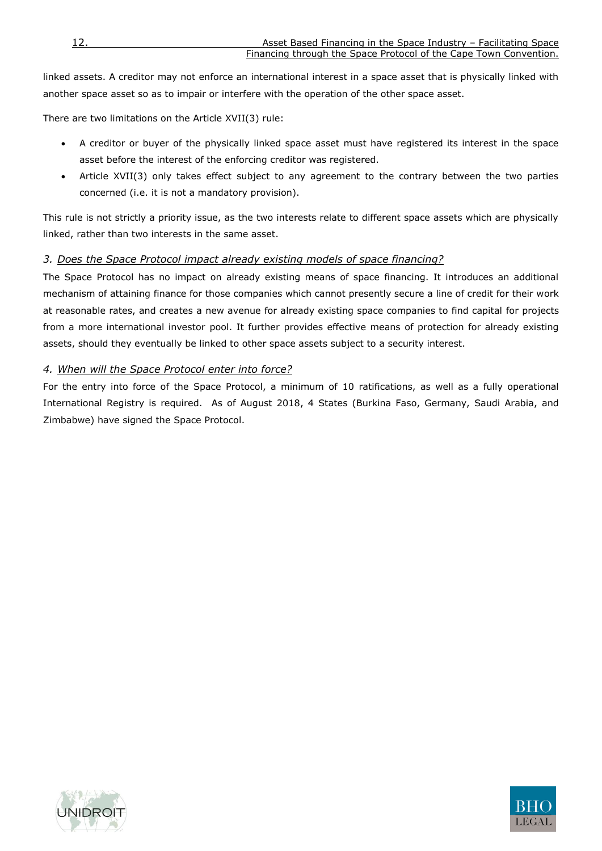linked assets. A creditor may not enforce an international interest in a space asset that is physically linked with another space asset so as to impair or interfere with the operation of the other space asset.

There are two limitations on the Article XVII(3) rule:

- A creditor or buyer of the physically linked space asset must have registered its interest in the space asset before the interest of the enforcing creditor was registered.
- Article XVII(3) only takes effect subject to any agreement to the contrary between the two parties concerned (i.e. it is not a mandatory provision).

This rule is not strictly a priority issue, as the two interests relate to different space assets which are physically linked, rather than two interests in the same asset.

## <span id="page-11-0"></span>*3. Does the Space Protocol impact already existing models of space financing?*

The Space Protocol has no impact on already existing means of space financing. It introduces an additional mechanism of attaining finance for those companies which cannot presently secure a line of credit for their work at reasonable rates, and creates a new avenue for already existing space companies to find capital for projects from a more international investor pool. It further provides effective means of protection for already existing assets, should they eventually be linked to other space assets subject to a security interest.

## <span id="page-11-1"></span>*4. When will the Space Protocol enter into force?*

For the entry into force of the Space Protocol, a minimum of 10 ratifications, as well as a fully operational International Registry is required. As of August 2018, 4 States (Burkina Faso, Germany, Saudi Arabia, and Zimbabwe) have signed the Space Protocol.



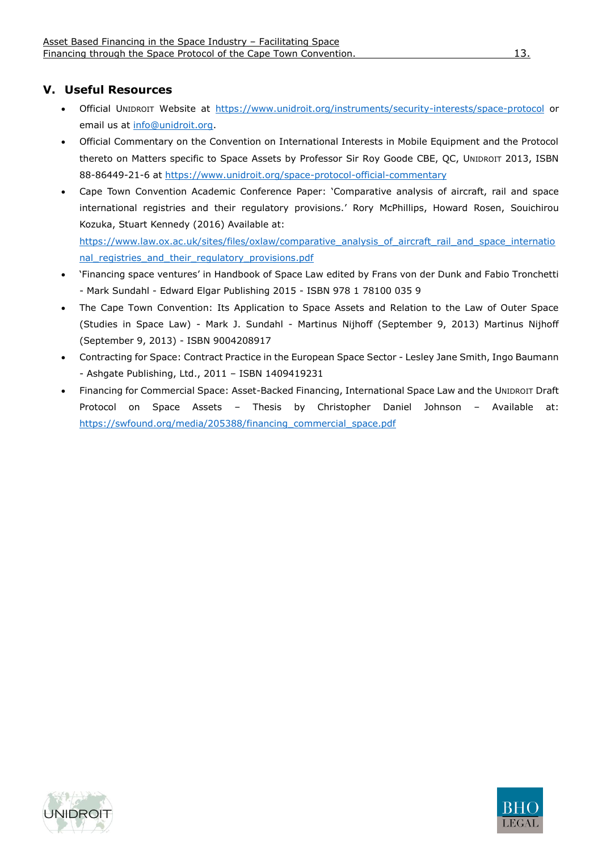# <span id="page-12-0"></span>**V. Useful Resources**

- Official UNIDROIT Website at<https://www.unidroit.org/instruments/security-interests/space-protocol> or email us at [info@unidroit.org.](mailto:info@unidroit.org)
- Official Commentary on the Convention on International Interests in Mobile Equipment and the Protocol thereto on Matters specific to Space Assets by Professor Sir Roy Goode CBE, QC, UNIDROIT 2013, ISBN 88-86449-21-6 at<https://www.unidroit.org/space-protocol-official-commentary>
- Cape Town Convention Academic Conference Paper: 'Comparative analysis of aircraft, rail and space international registries and their regulatory provisions.' Rory McPhillips, Howard Rosen, Souichirou Kozuka, Stuart Kennedy (2016) Available at: [https://www.law.ox.ac.uk/sites/files/oxlaw/comparative\\_analysis\\_of\\_aircraft\\_rail\\_and\\_space\\_internatio](https://www.law.ox.ac.uk/sites/files/oxlaw/comparative_analysis_of_aircraft_rail_and_space_international_registries_and_their_regulatory_provisions.pdf)

[nal\\_registries\\_and\\_their\\_regulatory\\_provisions.pdf](https://www.law.ox.ac.uk/sites/files/oxlaw/comparative_analysis_of_aircraft_rail_and_space_international_registries_and_their_regulatory_provisions.pdf)

- 'Financing space ventures' in Handbook of Space Law edited by Frans von der Dunk and Fabio Tronchetti - Mark Sundahl - Edward Elgar Publishing 2015 - ISBN 978 1 78100 035 9
- The Cape Town Convention: Its Application to Space Assets and Relation to the Law of Outer Space (Studies in Space Law) - Mark J. Sundahl - Martinus Nijhoff (September 9, 2013) Martinus Nijhoff (September 9, 2013) - ISBN 9004208917
- Contracting for Space: Contract Practice in the European Space Sector Lesley Jane Smith, Ingo Baumann - Ashgate Publishing, Ltd., 2011 – ISBN 1409419231
- Financing for Commercial Space: Asset-Backed Financing, International Space Law and the UNIDROIT Draft Protocol on Space Assets – Thesis by Christopher Daniel Johnson – Available at: [https://swfound.org/media/205388/financing\\_commercial\\_space.pdf](https://swfound.org/media/205388/financing_commercial_space.pdf)